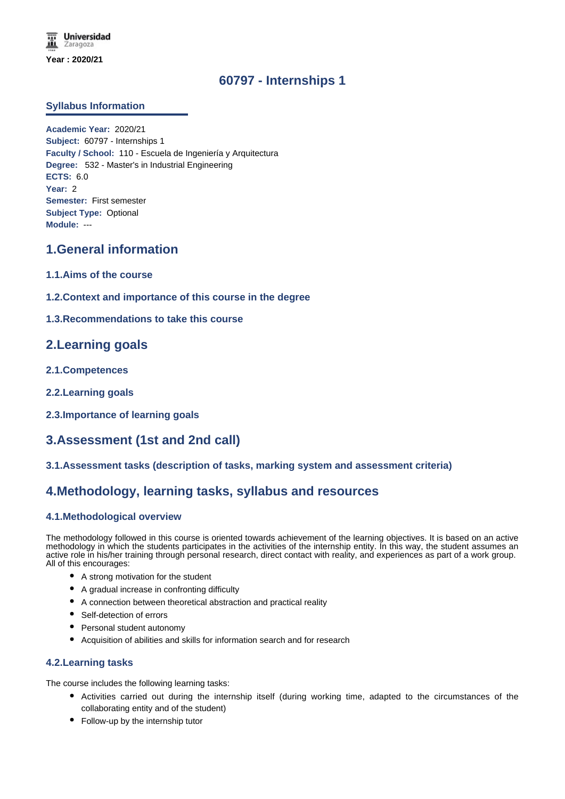# **60797 - Internships 1**

### **Syllabus Information**

**Academic Year:** 2020/21 **Subject:** 60797 - Internships 1 **Faculty / School:** 110 - Escuela de Ingeniería y Arquitectura **Degree:** 532 - Master's in Industrial Engineering **ECTS:** 6.0 **Year:** 2 **Semester:** First semester **Subject Type:** Optional **Module:** ---

## **1.General information**

- **1.1.Aims of the course**
- **1.2.Context and importance of this course in the degree**
- **1.3.Recommendations to take this course**

## **2.Learning goals**

- **2.1.Competences**
- **2.2.Learning goals**
- **2.3.Importance of learning goals**

# **3.Assessment (1st and 2nd call)**

**3.1.Assessment tasks (description of tasks, marking system and assessment criteria)**

## **4.Methodology, learning tasks, syllabus and resources**

### **4.1.Methodological overview**

The methodology followed in this course is oriented towards achievement of the learning objectives. It is based on an active methodology in which the students participates in the activities of the internship entity. In this way, the student assumes an active role in his/her training through personal research, direct contact with reality, and experiences as part of a work group. All of this encourages:

- A strong motivation for the student
- A gradual increase in confronting difficulty
- A connection between theoretical abstraction and practical reality
- Self-detection of errors
- Personal student autonomy
- Acquisition of abilities and skills for information search and for research

### **4.2.Learning tasks**

The course includes the following learning tasks:

- Activities carried out during the internship itself (during working time, adapted to the circumstances of the collaborating entity and of the student)
- Follow-up by the internship tutor